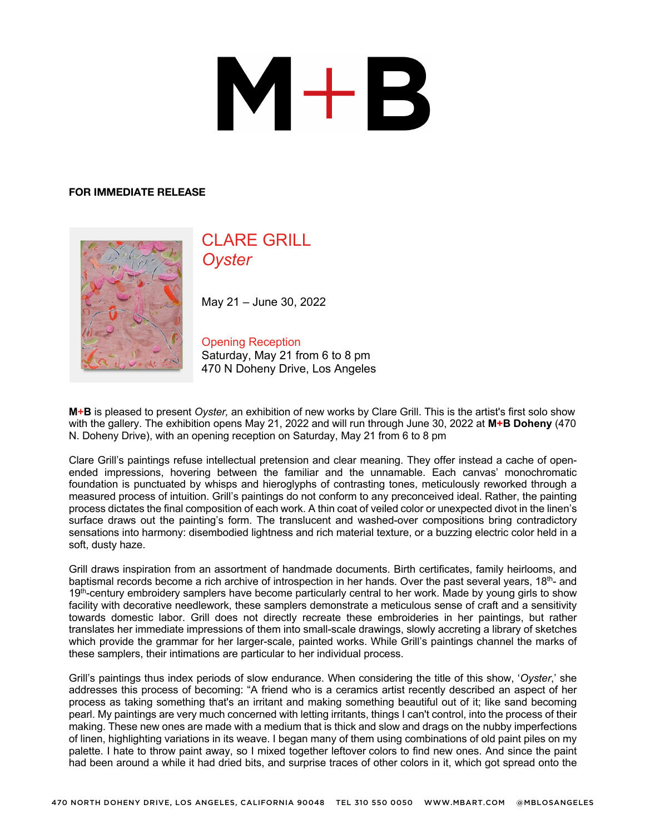## $M+B$

## **FOR IMMEDIATE RELEASE**



## CLARE GRILL *Oyster*

May 21 – June 30, 2022

Opening Reception Saturday, May 21 from 6 to 8 pm 470 N Doheny Drive, Los Angeles

**M+B** is pleased to present *Oyster,* an exhibition of new works by Clare Grill. This is the artist's first solo show with the gallery. The exhibition opens May 21, 2022 and will run through June 30, 2022 at **M+B Doheny** (470 N. Doheny Drive), with an opening reception on Saturday, May 21 from 6 to 8 pm

Clare Grill's paintings refuse intellectual pretension and clear meaning. They offer instead a cache of openended impressions, hovering between the familiar and the unnamable. Each canvas' monochromatic foundation is punctuated by whisps and hieroglyphs of contrasting tones, meticulously reworked through a measured process of intuition. Grill's paintings do not conform to any preconceived ideal. Rather, the painting process dictates the final composition of each work. A thin coat of veiled color or unexpected divot in the linen's surface draws out the painting's form. The translucent and washed-over compositions bring contradictory sensations into harmony: disembodied lightness and rich material texture, or a buzzing electric color held in a soft, dusty haze.

Grill draws inspiration from an assortment of handmade documents. Birth certificates, family heirlooms, and baptismal records become a rich archive of introspection in her hands. Over the past several years, 18th- and 19<sup>th</sup>-century embroidery samplers have become particularly central to her work. Made by young girls to show facility with decorative needlework, these samplers demonstrate a meticulous sense of craft and a sensitivity towards domestic labor. Grill does not directly recreate these embroideries in her paintings, but rather translates her immediate impressions of them into small-scale drawings, slowly accreting a library of sketches which provide the grammar for her larger-scale, painted works. While Grill's paintings channel the marks of these samplers, their intimations are particular to her individual process.

Grill's paintings thus index periods of slow endurance. When considering the title of this show, '*Oyster*,' she addresses this process of becoming: "A friend who is a ceramics artist recently described an aspect of her process as taking something that's an irritant and making something beautiful out of it; like sand becoming pearl. My paintings are very much concerned with letting irritants, things I can't control, into the process of their making. These new ones are made with a medium that is thick and slow and drags on the nubby imperfections of linen, highlighting variations in its weave. I began many of them using combinations of old paint piles on my palette. I hate to throw paint away, so I mixed together leftover colors to find new ones. And since the paint had been around a while it had dried bits, and surprise traces of other colors in it, which got spread onto the